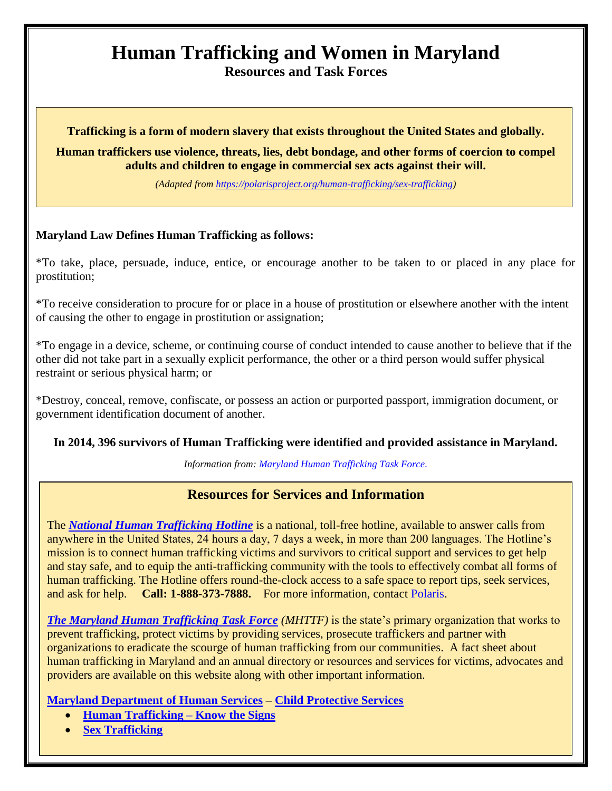# **Human Trafficking and Women in Maryland**

**Resources and Task Forces**

#### **Trafficking is a form of modern slavery that exists throughout the United States and globally.**

**Human traffickers use violence, threats, lies, debt bondage, and other forms of coercion to compel adults and children to engage in commercial sex acts against their will.**

*(Adapted from [https://polarisproject.org/human-trafficking/sex-trafficking\)](https://polarisproject.org/human-trafficking/sex-trafficking)*

#### **Maryland Law Defines Human Trafficking as follows:**

\*To take, place, persuade, induce, entice, or encourage another to be taken to or placed in any place for prostitution;

\*To receive consideration to procure for or place in a house of prostitution or elsewhere another with the intent of causing the other to engage in prostitution or assignation;

\*To engage in a device, scheme, or continuing course of conduct intended to cause another to believe that if the other did not take part in a sexually explicit performance, the other or a third person would suffer physical restraint or serious physical harm; or

\*Destroy, conceal, remove, confiscate, or possess an action or purported passport, immigration document, or government identification document of another.

#### **[In 2014, 396 survivors of Human Trafficking were identified and provided assistance in Maryland.](http://www.mdhumantrafficking.org/s/2014-MD-Human-Trafficking-Scope-and-Services-Survey-FINAL-3123.jpg)**

*Information from: [Maryland Human Trafficking Task Force.](http://www.mdhumantrafficking.org/legislation/)*

### **Resources for Services and Information**

The *[National Human Trafficking Hotline](https://polarisproject.org/get-assistance/national-human-trafficking-hotline)* is a national, toll-free hotline, available to answer calls from anywhere in the United States, 24 hours a day, 7 days a week, in more than 200 languages. The Hotline's mission is to connect human trafficking victims and survivors to critical support and services to get help and stay safe, and to equip the anti-trafficking community with the tools to effectively combat all forms of human trafficking. The Hotline offers round-the-clock access to a safe space to report tips, seek services, and ask for help. **Call: 1-888-373-7888.** For more information, contact [Polaris.](https://polarisproject.org/human-trafficking)

*[The Maryland Human Trafficking Task Force](http://www.mdhumantrafficking.org/) (MHTTF)* is the state's primary organization that works to prevent trafficking, protect victims by providing services, prosecute traffickers and partner with organizations to eradicate the scourge of human trafficking from our communities. A fact sheet about human trafficking in Maryland and an annual directory or resources and services for victims, advocates and providers are available on this website along with other important information.

**[Maryland Department of Human Services](http://dhr.maryland.gov/) – [Child Protective Services](http://dhr.maryland.gov/child-protective-services/)**

- **[Human Trafficking –](http://dhr.maryland.gov/child-protective-services/sex-trafficking/recognize-the-signs/) Know the Signs**
- **[Sex Trafficking](http://dhr.maryland.gov/child-protective-services/sex-trafficking/)**